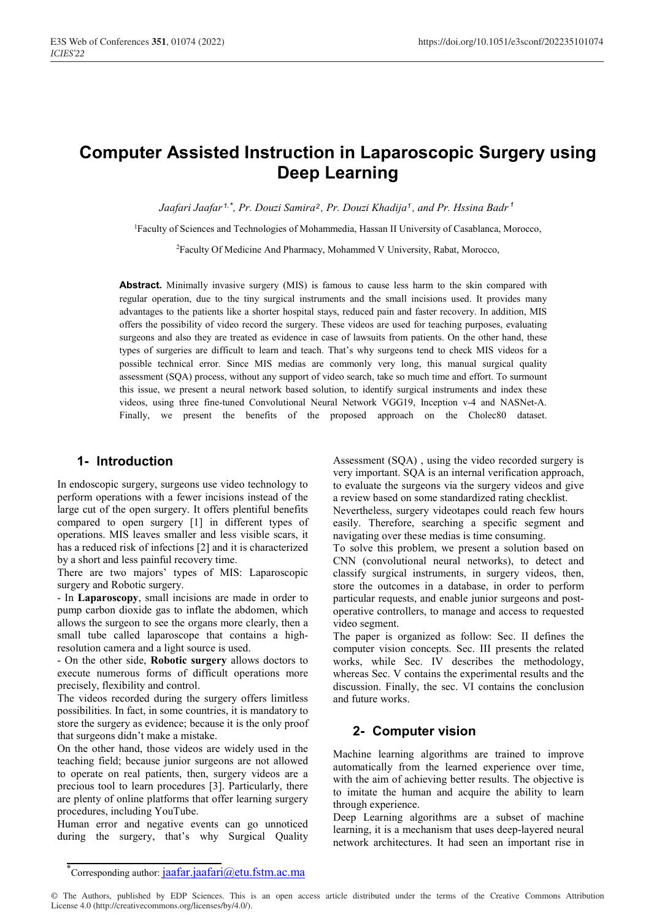# **Computer Assisted Instruction in Laparoscopic Surgery using Deep Learning**

 $J$ aafari Jaafar <sup>1,\*</sup>, Pr. Douzi Samira<sup>2</sup>, Pr. Douzi Khadija<sup>1</sup>, and Pr. Hssina Badr <sup>1</sup>

1Faculty of Sciences and Technologies of Mohammedia, Hassan II University of Casablanca, Morocco,

2Faculty Of Medicine And Pharmacy, Mohammed V University, Rabat, Morocco,

**Abstract.** Minimally invasive surgery (MIS) is famous to cause less harm to the skin compared with regular operation, due to the tiny surgical instruments and the small incisions used. It provides many advantages to the patients like a shorter hospital stays, reduced pain and faster recovery. In addition, MIS offers the possibility of video record the surgery. These videos are used for teaching purposes, evaluating surgeons and also they are treated as evidence in case of lawsuits from patients. On the other hand, these types of surgeries are difficult to learn and teach. That's why surgeons tend to check MIS videos for a possible technical error. Since MIS medias are commonly very long, this manual surgical quality assessment (SQA) process, without any support of video search, take so much time and effort. To surmount this issue, we present a neural network based solution, to identify surgical instruments and index these videos, using three fine-tuned Convolutional Neural Network VGG19, Inception v-4 and NASNet-A. Finally, we present the benefits of the proposed approach on the Cholec80 dataset.

#### **1- Introduction**

In endoscopic surgery, surgeons use video technology to perform operations with a fewer incisions instead of the large cut of the open surgery. It offers plentiful benefits compared to open surgery [1] in different types of operations. MIS leaves smaller and less visible scars, it has a reduced risk of infections [2] and it is characterized by a short and less painful recovery time.

There are two majors' types of MIS: Laparoscopic surgery and Robotic surgery.

- In **Laparoscopy**, small incisions are made in order to pump carbon dioxide gas to inflate the abdomen, which allows the surgeon to see the organs more clearly, then a small tube called laparoscope that contains a highresolution camera and a light source is used.

- On the other side, **Robotic surgery** allows doctors to execute numerous forms of difficult operations more precisely, flexibility and control.

The videos recorded during the surgery offers limitless possibilities. In fact, in some countries, it is mandatory to store the surgery as evidence; because it is the only proof that surgeons didn't make a mistake.

On the other hand, those videos are widely used in the teaching field; because junior surgeons are not allowed to operate on real patients, then, surgery videos are a precious tool to learn procedures [3]. Particularly, there are plenty of online platforms that offer learning surgery procedures, including YouTube.

Human error and negative events can go unnoticed during the surgery, that's why Surgical Quality Assessment (SQA) , using the video recorded surgery is very important. SQA is an internal verification approach, to evaluate the surgeons via the surgery videos and give a review based on some standardized rating checklist.

Nevertheless, surgery videotapes could reach few hours easily. Therefore, searching a specific segment and navigating over these medias is time consuming.

To solve this problem, we present a solution based on CNN (convolutional neural networks), to detect and classify surgical instruments, in surgery videos, then, store the outcomes in a database, in order to perform particular requests, and enable junior surgeons and postoperative controllers, to manage and access to requested video segment.

The paper is organized as follow: Sec. II defines the computer vision concepts. Sec. III presents the related works, while Sec. IV describes the methodology, whereas Sec. V contains the experimental results and the discussion. Finally, the sec. VI contains the conclusion and future works.

## **2- Computer vision**

Machine learning algorithms are trained to improve automatically from the learned experience over time, with the aim of achieving better results. The objective is to imitate the human and acquire the ability to learn through experience.

Deep Learning algorithms are a subset of machine learning, it is a mechanism that uses deep-layered neural network architectures. It had seen an important rise in

© The Authors, published by EDP Sciences. This is an open access article distributed under the terms of the Creative Commons Attribution License 4.0 (http://creativecommons.org/licenses/by/4.0/).

<sup>\*</sup>Corresponding author: jaafar.jaafari@etu.fstm.ac.ma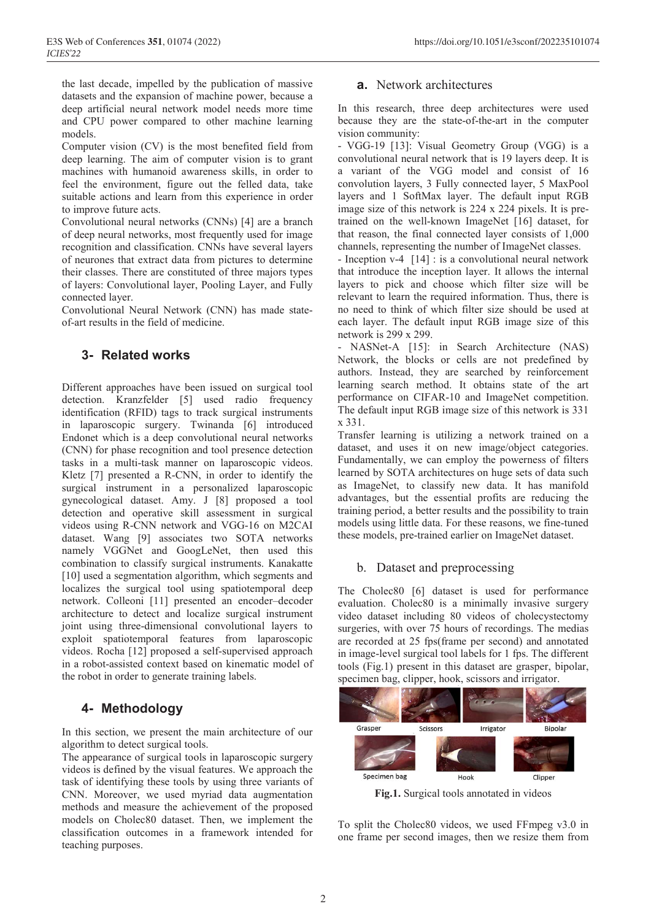the last decade, impelled by the publication of massive datasets and the expansion of machine power, because a deep artificial neural network model needs more time and CPU power compared to other machine learning models.

Computer vision (CV) is the most benefited field from deep learning. The aim of computer vision is to grant machines with humanoid awareness skills, in order to feel the environment, figure out the felled data, take suitable actions and learn from this experience in order to improve future acts.

Convolutional neural networks (CNNs) [4] are a branch of deep neural networks, most frequently used for image recognition and classification. CNNs have several layers of neurones that extract data from pictures to determine their classes. There are constituted of three majors types of layers: Convolutional layer, Pooling Layer, and Fully connected layer.

Convolutional Neural Network (CNN) has made stateof-art results in the field of medicine.

## **3- Related works**

Different approaches have been issued on surgical tool detection. Kranzfelder [5] used radio frequency identification (RFID) tags to track surgical instruments in laparoscopic surgery. Twinanda [6] introduced Endonet which is a deep convolutional neural networks (CNN) for phase recognition and tool presence detection tasks in a multi-task manner on laparoscopic videos. Kletz [7] presented a R-CNN, in order to identify the surgical instrument in a personalized laparoscopic gynecological dataset. Amy. J [8] proposed a tool detection and operative skill assessment in surgical videos using R-CNN network and VGG-16 on M2CAI dataset. Wang [9] associates two SOTA networks namely VGGNet and GoogLeNet, then used this combination to classify surgical instruments. Kanakatte [10] used a segmentation algorithm, which segments and localizes the surgical tool using spatiotemporal deep network. Colleoni [11] presented an encoder–decoder architecture to detect and localize surgical instrument joint using three-dimensional convolutional layers to exploit spatiotemporal features from laparoscopic videos. Rocha [12] proposed a self-supervised approach in a robot-assisted context based on kinematic model of the robot in order to generate training labels.

# **4- Methodology**

In this section, we present the main architecture of our algorithm to detect surgical tools.

The appearance of surgical tools in laparoscopic surgery videos is defined by the visual features. We approach the task of identifying these tools by using three variants of CNN. Moreover, we used myriad data augmentation methods and measure the achievement of the proposed models on Cholec80 dataset. Then, we implement the classification outcomes in a framework intended for teaching purposes.

### **a.** Network architectures

In this research, three deep architectures were used because they are the state-of-the-art in the computer vision community:

- VGG-19 [13]: Visual Geometry Group (VGG) is a convolutional neural network that is 19 layers deep. It is a variant of the VGG model and consist of 16 convolution layers, 3 Fully connected layer, 5 MaxPool layers and 1 SoftMax layer. The default input RGB image size of this network is 224 x 224 pixels. It is pretrained on the well-known ImageNet [16] dataset, for that reason, the final connected layer consists of 1,000 channels, representing the number of ImageNet classes.

- Inception v-4 [14] : is a convolutional neural network that introduce the inception layer. It allows the internal layers to pick and choose which filter size will be relevant to learn the required information. Thus, there is no need to think of which filter size should be used at each layer. The default input RGB image size of this network is 299 x 299.

- NASNet-A [15]: in Search Architecture (NAS) Network, the blocks or cells are not predefined by authors. Instead, they are searched by reinforcement learning search method. It obtains state of the art performance on CIFAR-10 and ImageNet competition. The default input RGB image size of this network is 331 x 331.

Transfer learning is utilizing a network trained on a dataset, and uses it on new image/object categories. Fundamentally, we can employ the powerness of filters learned by SOTA architectures on huge sets of data such as ImageNet, to classify new data. It has manifold advantages, but the essential profits are reducing the training period, a better results and the possibility to train models using little data. For these reasons, we fine-tuned these models, pre-trained earlier on ImageNet dataset.

## b. Dataset and preprocessing

The Cholec<sub>80</sub> [6] dataset is used for performance evaluation. Cholec80 is a minimally invasive surgery video dataset including 80 videos of cholecystectomy surgeries, with over 75 hours of recordings. The medias are recorded at 25 fps(frame per second) and annotated in image-level surgical tool labels for 1 fps. The different tools (Fig.1) present in this dataset are grasper, bipolar, specimen bag, clipper, hook, scissors and irrigator.



**Fig.1.** Surgical tools annotated in videos

To split the Cholec80 videos, we used FFmpeg v3.0 in one frame per second images, then we resize them from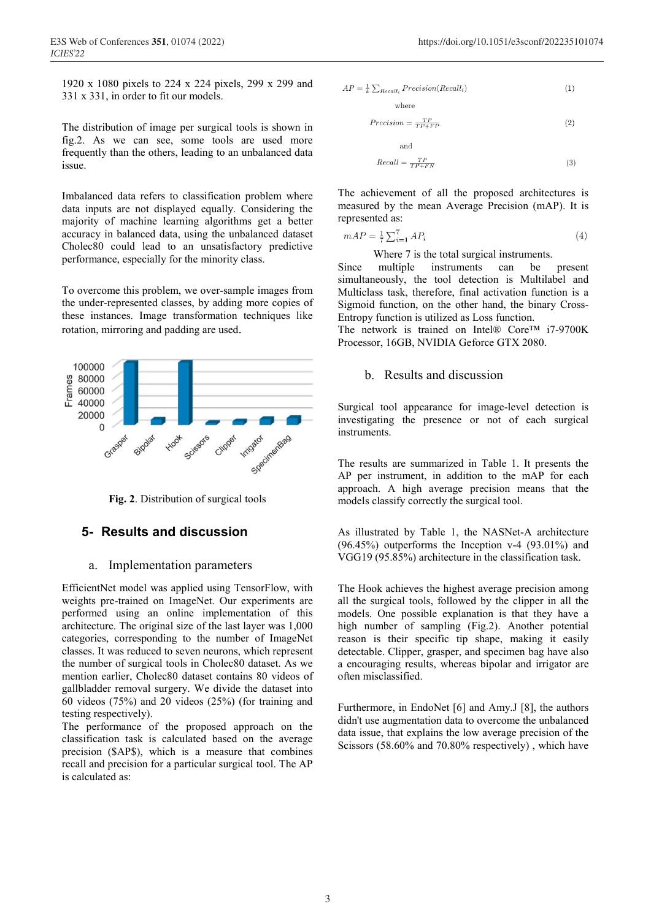1920 x 1080 pixels to 224 x 224 pixels, 299 x 299 and 331 x 331, in order to fit our models.

The distribution of image per surgical tools is shown in fig.2. As we can see, some tools are used more frequently than the others, leading to an unbalanced data issue.

Imbalanced data refers to classification problem where data inputs are not displayed equally. Considering the majority of machine learning algorithms get a better accuracy in balanced data, using the unbalanced dataset Cholec80 could lead to an unsatisfactory predictive performance, especially for the minority class.

To overcome this problem, we over-sample images from the under-represented classes, by adding more copies of these instances. Image transformation techniques like rotation, mirroring and padding are used.



**Fig. 2**. Distribution of surgical tools

#### **5- Results and discussion**

#### a. Implementation parameters

EfficientNet model was applied using TensorFlow, with weights pre-trained on ImageNet. Our experiments are performed using an online implementation of this architecture. The original size of the last layer was 1,000 categories, corresponding to the number of ImageNet classes. It was reduced to seven neurons, which represent the number of surgical tools in Cholec80 dataset. As we mention earlier, Cholec80 dataset contains 80 videos of gallbladder removal surgery. We divide the dataset into 60 videos (75%) and 20 videos (25%) (for training and testing respectively).

The performance of the proposed approach on the classification task is calculated based on the average precision (\$AP\$), which is a measure that combines recall and precision for a particular surgical tool. The AP is calculated as:

$$
AP = \frac{1}{k} \sum_{Recall_i} Precision(Recall_i)
$$
 (1)

$$
recision = \frac{TP}{TP + FP}
$$
\n<sup>(2)</sup>

 $\overline{P}$ 

$$
Recall = \frac{TP}{TP + FN} \tag{3}
$$

The achievement of all the proposed architectures is measured by the mean Average Precision (mAP). It is represented as:

$$
mAP = \frac{1}{7} \sum_{i=1}^{7} AP_i \tag{4}
$$

Where 7 is the total surgical instruments.

Since multiple instruments can be present simultaneously, the tool detection is Multilabel and Multiclass task, therefore, final activation function is a Sigmoid function, on the other hand, the binary Cross-Entropy function is utilized as Loss function.

The network is trained on Intel® Core™ i7-9700K Processor, 16GB, NVIDIA Geforce GTX 2080.

#### b. Results and discussion

Surgical tool appearance for image-level detection is investigating the presence or not of each surgical instruments.

The results are summarized in Table 1. It presents the AP per instrument, in addition to the mAP for each approach. A high average precision means that the models classify correctly the surgical tool.

As illustrated by Table 1, the NASNet-A architecture (96.45%) outperforms the Inception v-4 (93.01%) and VGG19 (95.85%) architecture in the classification task.

The Hook achieves the highest average precision among all the surgical tools, followed by the clipper in all the models. One possible explanation is that they have a high number of sampling (Fig.2). Another potential reason is their specific tip shape, making it easily detectable. Clipper, grasper, and specimen bag have also a encouraging results, whereas bipolar and irrigator are often misclassified.

Furthermore, in EndoNet [6] and Amy.J [8], the authors didn't use augmentation data to overcome the unbalanced data issue, that explains the low average precision of the Scissors (58.60% and 70.80% respectively) , which have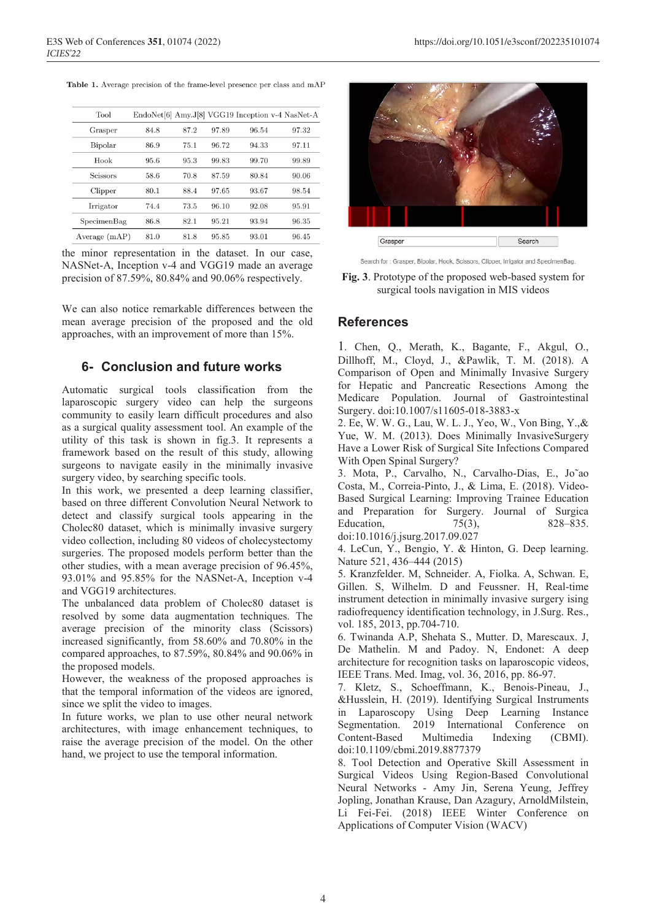| Tool            |      |      |       | EndoNet[6] Amy.J[8] VGG19 Inception v-4 NasNet-A |       |
|-----------------|------|------|-------|--------------------------------------------------|-------|
| Grasper         | 84.8 | 87.2 | 97.89 | 96.54                                            | 97.32 |
| Bipolar         | 86.9 | 75.1 | 96.72 | 94.33                                            | 97.11 |
| Hook            | 95.6 | 95.3 | 99.83 | 99.70                                            | 99.89 |
| <b>Scissors</b> | 58.6 | 70.8 | 87.59 | 80.84                                            | 90.06 |
| Clipper         | 80.1 | 88.4 | 97.65 | 93.67                                            | 98.54 |
| Irrigator       | 74.4 | 73.5 | 96.10 | 92.08                                            | 95.91 |
| SpecimenBag     | 86.8 | 82.1 | 95.21 | 93.94                                            | 96.35 |
| Average $(mAP)$ | 81.0 | 81.8 | 95.85 | 93.01                                            | 96.45 |

the minor representation in the dataset. In our case, NASNet-A, Inception v-4 and VGG19 made an average precision of 87.59%, 80.84% and 90.06% respectively.

We can also notice remarkable differences between the mean average precision of the proposed and the old approaches, with an improvement of more than 15%.

### **6- Conclusion and future works**

Automatic surgical tools classification from the laparoscopic surgery video can help the surgeons community to easily learn difficult procedures and also as a surgical quality assessment tool. An example of the utility of this task is shown in fig.3. It represents a framework based on the result of this study, allowing surgeons to navigate easily in the minimally invasive surgery video, by searching specific tools.

In this work, we presented a deep learning classifier, based on three different Convolution Neural Network to detect and classify surgical tools appearing in the Cholec80 dataset, which is minimally invasive surgery video collection, including 80 videos of cholecystectomy surgeries. The proposed models perform better than the other studies, with a mean average precision of 96.45%, 93.01% and 95.85% for the NASNet-A, Inception v-4 and VGG19 architectures.

The unbalanced data problem of Cholec80 dataset is resolved by some data augmentation techniques. The average precision of the minority class (Scissors) increased significantly, from 58.60% and 70.80% in the compared approaches, to 87.59%, 80.84% and 90.06% in the proposed models.

However, the weakness of the proposed approaches is that the temporal information of the videos are ignored, since we split the video to images.

In future works, we plan to use other neural network architectures, with image enhancement techniques, to raise the average precision of the model. On the other hand, we project to use the temporal information.



Search for: Grasper, Bipolar, Hook, Scissors, Clipper, Irrigator and SpecimenBag.

**Fig. 3**. Prototype of the proposed web-based system for surgical tools navigation in MIS videos

#### **References**

1. Chen, Q., Merath, K., Bagante, F., Akgul, O., Dillhoff, M., Cloyd, J., &Pawlik, T. M. (2018). A Comparison of Open and Minimally Invasive Surgery for Hepatic and Pancreatic Resections Among the Medicare Population. Journal of Gastrointestinal Surgery. doi:10.1007/s11605-018-3883-x

2. Ee, W. W. G., Lau, W. L. J., Yeo, W., Von Bing, Y.,& Yue, W. M. (2013). Does Minimally InvasiveSurgery Have a Lower Risk of Surgical Site Infections Compared With Open Spinal Surgery?

3. Mota, P., Carvalho, N., Carvalho-Dias, E., Jo˜ao Costa, M., Correia-Pinto, J., & Lima, E. (2018). Video-Based Surgical Learning: Improving Trainee Education and Preparation for Surgery. Journal of Surgica Education, 75(3), 828–835. doi:10.1016/j.jsurg.2017.09.027

4. LeCun, Y., Bengio, Y. & Hinton, G. Deep learning. Nature 521, 436–444 (2015)

5. Kranzfelder. M, Schneider. A, Fiolka. A, Schwan. E, Gillen. S, Wilhelm. D and Feussner. H, Real-time instrument detection in minimally invasive surgery ising radiofrequency identification technology, in J.Surg. Res., vol. 185, 2013, pp.704-710.

6. Twinanda A.P, Shehata S., Mutter. D, Marescaux. J, De Mathelin. M and Padoy. N, Endonet: A deep architecture for recognition tasks on laparoscopic videos, IEEE Trans. Med. Imag, vol. 36, 2016, pp. 86-97.

7. Kletz, S., Schoeffmann, K., Benois-Pineau, J., &Husslein, H. (2019). Identifying Surgical Instruments in Laparoscopy Using Deep Learning Instance Segmentation. 2019 International Conference on Content-Based Multimedia Indexing (CBMI). doi:10.1109/cbmi.2019.8877379

8. Tool Detection and Operative Skill Assessment in Surgical Videos Using Region-Based Convolutional Neural Networks - Amy Jin, Serena Yeung, Jeffrey Jopling, Jonathan Krause, Dan Azagury, ArnoldMilstein, Li Fei-Fei. (2018) IEEE Winter Conference on Applications of Computer Vision (WACV)